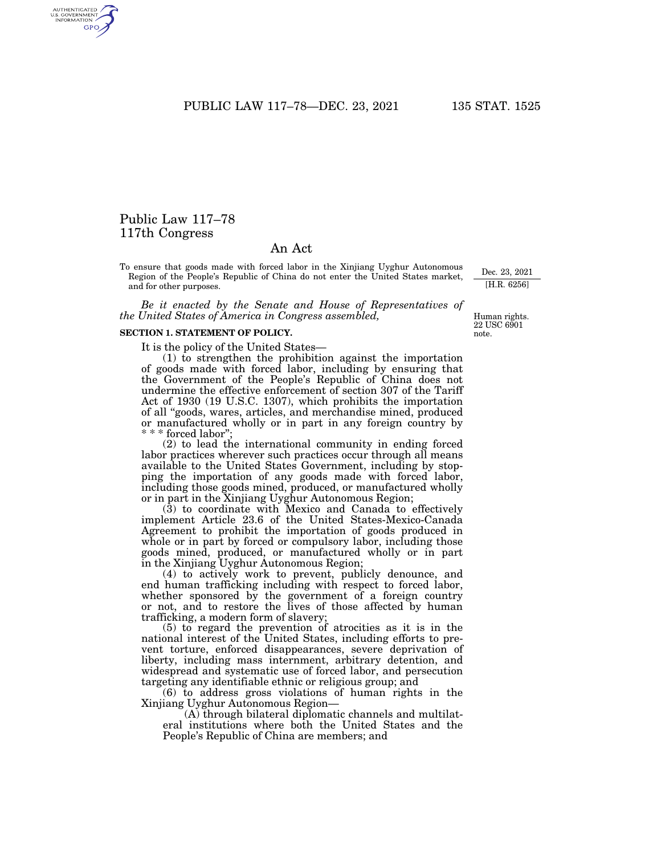PUBLIC LAW 117-78-DEC. 23, 2021 135 STAT. 1525

# Public Law 117–78 117th Congress

## An Act

To ensure that goods made with forced labor in the Xinjiang Uyghur Autonomous Region of the People's Republic of China do not enter the United States market, and for other purposes.

*Be it enacted by the Senate and House of Representatives of the United States of America in Congress assembled,* 

#### **SECTION 1. STATEMENT OF POLICY.**

It is the policy of the United States—

(1) to strengthen the prohibition against the importation of goods made with forced labor, including by ensuring that the Government of the People's Republic of China does not undermine the effective enforcement of section 307 of the Tariff Act of 1930 (19 U.S.C. 1307), which prohibits the importation of all ''goods, wares, articles, and merchandise mined, produced or manufactured wholly or in part in any foreign country by \* forced labor"

(2) to lead the international community in ending forced labor practices wherever such practices occur through all means available to the United States Government, including by stopping the importation of any goods made with forced labor, including those goods mined, produced, or manufactured wholly or in part in the Xinjiang Uyghur Autonomous Region;

(3) to coordinate with Mexico and Canada to effectively implement Article 23.6 of the United States-Mexico-Canada Agreement to prohibit the importation of goods produced in whole or in part by forced or compulsory labor, including those goods mined, produced, or manufactured wholly or in part in the Xinjiang Uyghur Autonomous Region;

(4) to actively work to prevent, publicly denounce, and end human trafficking including with respect to forced labor, whether sponsored by the government of a foreign country or not, and to restore the lives of those affected by human trafficking, a modern form of slavery;

(5) to regard the prevention of atrocities as it is in the national interest of the United States, including efforts to prevent torture, enforced disappearances, severe deprivation of liberty, including mass internment, arbitrary detention, and widespread and systematic use of forced labor, and persecution targeting any identifiable ethnic or religious group; and

(6) to address gross violations of human rights in the Xinjiang Uyghur Autonomous Region—

(A) through bilateral diplomatic channels and multilateral institutions where both the United States and the People's Republic of China are members; and

Human rights. 22 USC 6901 note.

Dec. 23, 2021 [H.R. 6256]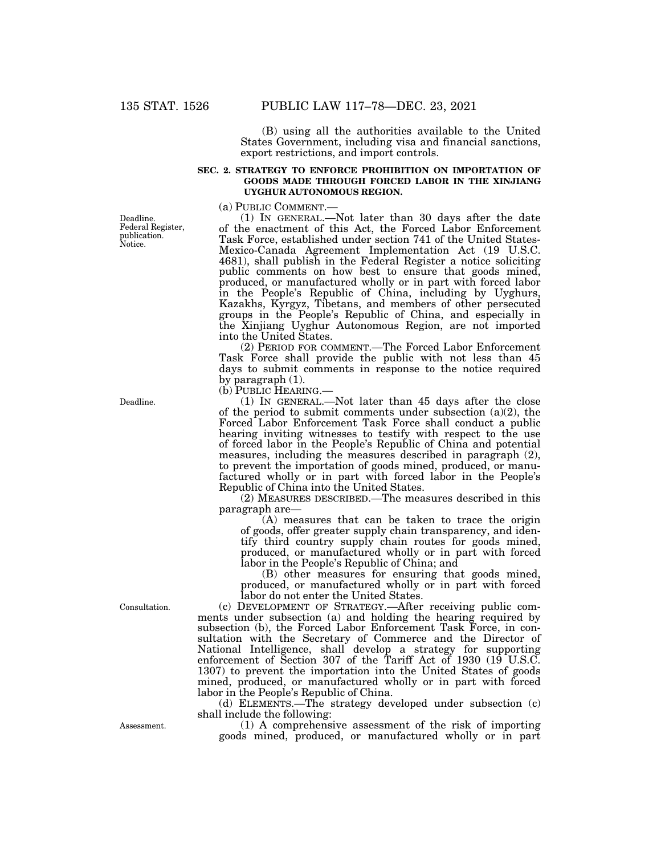(B) using all the authorities available to the United States Government, including visa and financial sanctions, export restrictions, and import controls.

#### **SEC. 2. STRATEGY TO ENFORCE PROHIBITION ON IMPORTATION OF GOODS MADE THROUGH FORCED LABOR IN THE XINJIANG UYGHUR AUTONOMOUS REGION.**

(a) PUBLIC COMMENT.— (1) IN GENERAL.—Not later than 30 days after the date of the enactment of this Act, the Forced Labor Enforcement Task Force, established under section 741 of the United States-Mexico-Canada Agreement Implementation Act (19 U.S.C. 4681), shall publish in the Federal Register a notice soliciting public comments on how best to ensure that goods mined, produced, or manufactured wholly or in part with forced labor in the People's Republic of China, including by Uyghurs, Kazakhs, Kyrgyz, Tibetans, and members of other persecuted groups in the People's Republic of China, and especially in the Xinjiang Uyghur Autonomous Region, are not imported into the United States.

(2) PERIOD FOR COMMENT.—The Forced Labor Enforcement Task Force shall provide the public with not less than 45 days to submit comments in response to the notice required by paragraph (1).

(b) PUBLIC HEARING.—

(1) IN GENERAL.—Not later than 45 days after the close of the period to submit comments under subsection  $(a)(2)$ , the Forced Labor Enforcement Task Force shall conduct a public hearing inviting witnesses to testify with respect to the use of forced labor in the People's Republic of China and potential measures, including the measures described in paragraph (2), to prevent the importation of goods mined, produced, or manufactured wholly or in part with forced labor in the People's Republic of China into the United States.

(2) MEASURES DESCRIBED.—The measures described in this paragraph are—

(A) measures that can be taken to trace the origin of goods, offer greater supply chain transparency, and identify third country supply chain routes for goods mined, produced, or manufactured wholly or in part with forced labor in the People's Republic of China; and

(B) other measures for ensuring that goods mined, produced, or manufactured wholly or in part with forced labor do not enter the United States.

(c) DEVELOPMENT OF STRATEGY.—After receiving public comments under subsection (a) and holding the hearing required by subsection (b), the Forced Labor Enforcement Task Force, in consultation with the Secretary of Commerce and the Director of National Intelligence, shall develop a strategy for supporting enforcement of Section 307 of the Tariff Act of 1930 (19 U.S.C. 1307) to prevent the importation into the United States of goods mined, produced, or manufactured wholly or in part with forced labor in the People's Republic of China.

(d) ELEMENTS.—The strategy developed under subsection (c) shall include the following:

(1) A comprehensive assessment of the risk of importing goods mined, produced, or manufactured wholly or in part

Deadline. Federal Register, publication. Notice.

Deadline.

Consultation.

Assessment.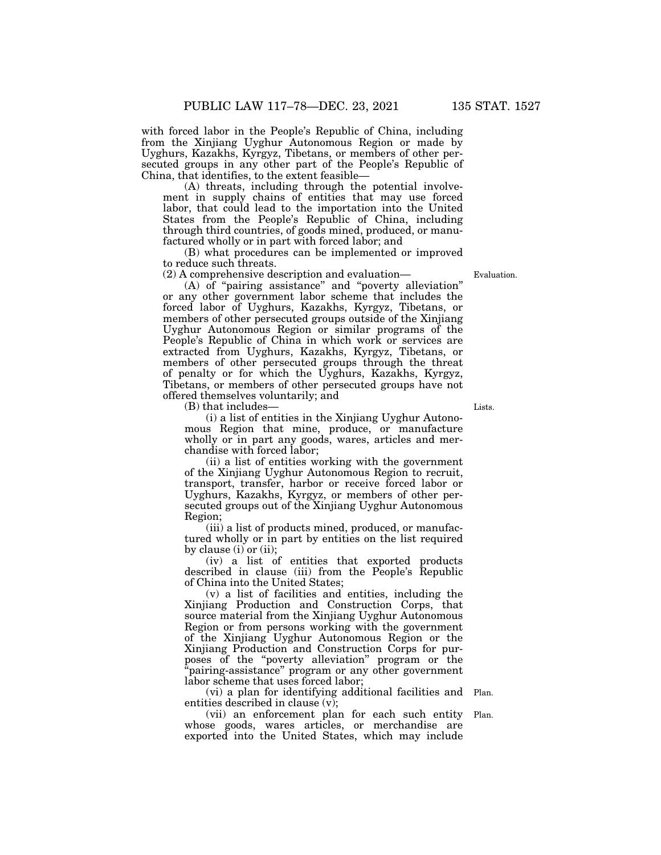with forced labor in the People's Republic of China, including from the Xinjiang Uyghur Autonomous Region or made by Uyghurs, Kazakhs, Kyrgyz, Tibetans, or members of other persecuted groups in any other part of the People's Republic of China, that identifies, to the extent feasible—

(A) threats, including through the potential involvement in supply chains of entities that may use forced labor, that could lead to the importation into the United States from the People's Republic of China, including through third countries, of goods mined, produced, or manufactured wholly or in part with forced labor; and

(B) what procedures can be implemented or improved to reduce such threats.

(2) A comprehensive description and evaluation—

(A) of ''pairing assistance'' and ''poverty alleviation'' or any other government labor scheme that includes the forced labor of Uyghurs, Kazakhs, Kyrgyz, Tibetans, or members of other persecuted groups outside of the Xinjiang Uyghur Autonomous Region or similar programs of the People's Republic of China in which work or services are extracted from Uyghurs, Kazakhs, Kyrgyz, Tibetans, or members of other persecuted groups through the threat of penalty or for which the Uyghurs, Kazakhs, Kyrgyz, Tibetans, or members of other persecuted groups have not offered themselves voluntarily; and

(B) that includes—

(i) a list of entities in the Xinjiang Uyghur Autonomous Region that mine, produce, or manufacture wholly or in part any goods, wares, articles and merchandise with forced labor;

(ii) a list of entities working with the government of the Xinjiang Uyghur Autonomous Region to recruit, transport, transfer, harbor or receive forced labor or Uyghurs, Kazakhs, Kyrgyz, or members of other persecuted groups out of the Xinjiang Uyghur Autonomous Region;

(iii) a list of products mined, produced, or manufactured wholly or in part by entities on the list required by clause (i) or (ii);

(iv) a list of entities that exported products described in clause (iii) from the People's Republic of China into the United States;

(v) a list of facilities and entities, including the Xinjiang Production and Construction Corps, that source material from the Xinjiang Uyghur Autonomous Region or from persons working with the government of the Xinjiang Uyghur Autonomous Region or the Xinjiang Production and Construction Corps for purposes of the ''poverty alleviation'' program or the ''pairing-assistance'' program or any other government labor scheme that uses forced labor;

(vi) a plan for identifying additional facilities and entities described in clause (v); Plan.

(vii) an enforcement plan for each such entity whose goods, wares articles, or merchandise are exported into the United States, which may include Plan.

Lists.

Evaluation.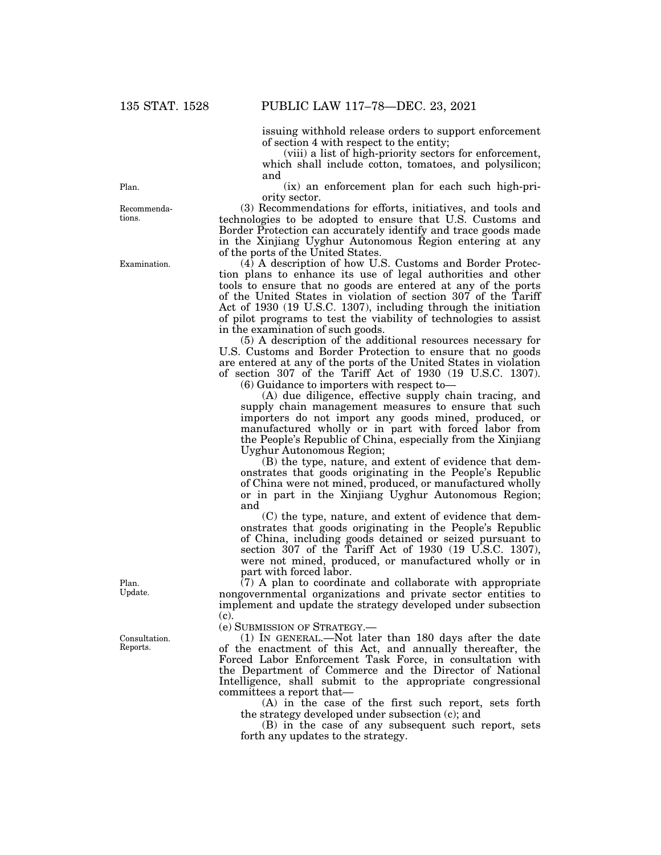issuing withhold release orders to support enforcement of section 4 with respect to the entity;

(viii) a list of high-priority sectors for enforcement, which shall include cotton, tomatoes, and polysilicon; and

(ix) an enforcement plan for each such high-priority sector.

(3) Recommendations for efforts, initiatives, and tools and technologies to be adopted to ensure that U.S. Customs and Border Protection can accurately identify and trace goods made in the Xinjiang Uyghur Autonomous Region entering at any of the ports of the United States.

(4) A description of how U.S. Customs and Border Protection plans to enhance its use of legal authorities and other tools to ensure that no goods are entered at any of the ports of the United States in violation of section 307 of the Tariff Act of 1930 (19 U.S.C. 1307), including through the initiation of pilot programs to test the viability of technologies to assist in the examination of such goods.

(5) A description of the additional resources necessary for U.S. Customs and Border Protection to ensure that no goods are entered at any of the ports of the United States in violation of section 307 of the Tariff Act of 1930 (19 U.S.C. 1307).

(6) Guidance to importers with respect to—

(A) due diligence, effective supply chain tracing, and supply chain management measures to ensure that such importers do not import any goods mined, produced, or manufactured wholly or in part with forced labor from the People's Republic of China, especially from the Xinjiang Uyghur Autonomous Region;

(B) the type, nature, and extent of evidence that demonstrates that goods originating in the People's Republic of China were not mined, produced, or manufactured wholly or in part in the Xinjiang Uyghur Autonomous Region; and

(C) the type, nature, and extent of evidence that demonstrates that goods originating in the People's Republic of China, including goods detained or seized pursuant to section 307 of the Tariff Act of 1930 (19 U.S.C. 1307), were not mined, produced, or manufactured wholly or in part with forced labor.

(7) A plan to coordinate and collaborate with appropriate nongovernmental organizations and private sector entities to implement and update the strategy developed under subsection  $(c)$ .

(e) SUBMISSION OF STRATEGY.—

(1) IN GENERAL.—Not later than 180 days after the date of the enactment of this Act, and annually thereafter, the Forced Labor Enforcement Task Force, in consultation with the Department of Commerce and the Director of National Intelligence, shall submit to the appropriate congressional committees a report that—

(A) in the case of the first such report, sets forth the strategy developed under subsection (c); and

(B) in the case of any subsequent such report, sets forth any updates to the strategy.

Plan.

Recommendations.

Examination.

Plan. Update.

Consultation. Reports.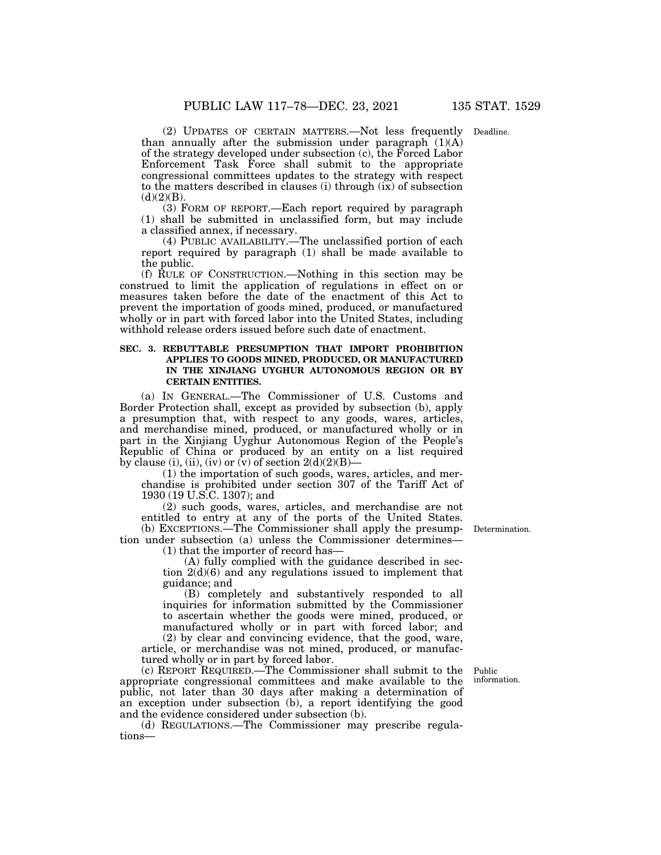(2) UPDATES OF CERTAIN MATTERS.—Not less frequently Deadline. than annually after the submission under paragraph  $(1)(A)$ of the strategy developed under subsection (c), the Forced Labor Enforcement Task Force shall submit to the appropriate congressional committees updates to the strategy with respect to the matters described in clauses (i) through (ix) of subsection  $(d)(2)(B)$ .

(3) FORM OF REPORT.—Each report required by paragraph (1) shall be submitted in unclassified form, but may include a classified annex, if necessary.

(4) PUBLIC AVAILABILITY.—The unclassified portion of each report required by paragraph (1) shall be made available to the public.

(f) RULE OF CONSTRUCTION.—Nothing in this section may be construed to limit the application of regulations in effect on or measures taken before the date of the enactment of this Act to prevent the importation of goods mined, produced, or manufactured wholly or in part with forced labor into the United States, including withhold release orders issued before such date of enactment.

#### **SEC. 3. REBUTTABLE PRESUMPTION THAT IMPORT PROHIBITION APPLIES TO GOODS MINED, PRODUCED, OR MANUFACTURED IN THE XINJIANG UYGHUR AUTONOMOUS REGION OR BY CERTAIN ENTITIES.**

(a) IN GENERAL.—The Commissioner of U.S. Customs and Border Protection shall, except as provided by subsection (b), apply a presumption that, with respect to any goods, wares, articles, and merchandise mined, produced, or manufactured wholly or in part in the Xinjiang Uyghur Autonomous Region of the People's Republic of China or produced by an entity on a list required by clause (i), (ii), (iv) or  $\overline{(v)}$  of section 2(d)(2)(B)—

(1) the importation of such goods, wares, articles, and merchandise is prohibited under section 307 of the Tariff Act of 1930 (19 U.S.C. 1307); and

(2) such goods, wares, articles, and merchandise are not entitled to entry at any of the ports of the United States. (b) EXCEPTIONS.—The Commissioner shall apply the presump-Determination.

tion under subsection (a) unless the Commissioner determines— (1) that the importer of record has—

> (A) fully complied with the guidance described in section 2(d)(6) and any regulations issued to implement that guidance; and

> (B) completely and substantively responded to all inquiries for information submitted by the Commissioner to ascertain whether the goods were mined, produced, or manufactured wholly or in part with forced labor; and (2) by clear and convincing evidence, that the good, ware,

article, or merchandise was not mined, produced, or manufactured wholly or in part by forced labor.

(c) REPORT REQUIRED.—The Commissioner shall submit to the appropriate congressional committees and make available to the public, not later than 30 days after making a determination of an exception under subsection (b), a report identifying the good and the evidence considered under subsection (b).

(d) REGULATIONS.—The Commissioner may prescribe regulations—

Public information.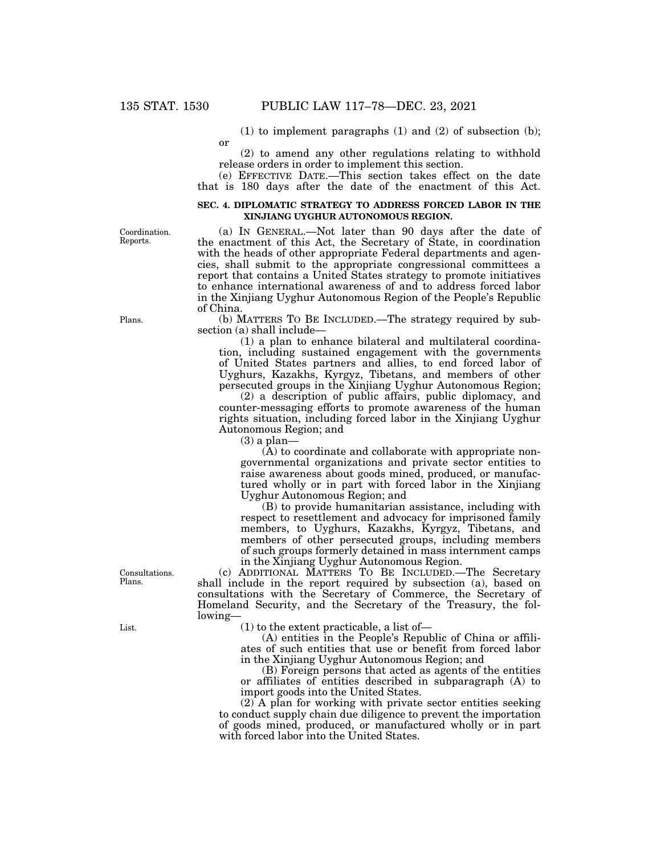or

(1) to implement paragraphs (1) and (2) of subsection (b);

(2) to amend any other regulations relating to withhold release orders in order to implement this section.

(a) IN GENERAL.—Not later than 90 days after the date of the enactment of this Act, the Secretary of State, in coordination with the heads of other appropriate Federal departments and agencies, shall submit to the appropriate congressional committees a

(e) EFFECTIVE DATE.—This section takes effect on the date that is 180 days after the date of the enactment of this Act.

#### **SEC. 4. DIPLOMATIC STRATEGY TO ADDRESS FORCED LABOR IN THE XINJIANG UYGHUR AUTONOMOUS REGION.**

Coordination. Reports.

Plans.

Consultations. Plans.

List.

report that contains a United States strategy to promote initiatives to enhance international awareness of and to address forced labor in the Xinjiang Uyghur Autonomous Region of the People's Republic of China. (b) MATTERS TO BE INCLUDED.—The strategy required by subsection (a) shall include—

(1) a plan to enhance bilateral and multilateral coordination, including sustained engagement with the governments of United States partners and allies, to end forced labor of Uyghurs, Kazakhs, Kyrgyz, Tibetans, and members of other persecuted groups in the Xinjiang Uyghur Autonomous Region;

(2) a description of public affairs, public diplomacy, and counter-messaging efforts to promote awareness of the human rights situation, including forced labor in the Xinjiang Uyghur Autonomous Region; and

(3) a plan—

(A) to coordinate and collaborate with appropriate nongovernmental organizations and private sector entities to raise awareness about goods mined, produced, or manufactured wholly or in part with forced labor in the Xinjiang Uyghur Autonomous Region; and

(B) to provide humanitarian assistance, including with respect to resettlement and advocacy for imprisoned family members, to Uyghurs, Kazakhs, Kyrgyz, Tibetans, and members of other persecuted groups, including members of such groups formerly detained in mass internment camps in the Xinjiang Uyghur Autonomous Region.

(c) ADDITIONAL MATTERS TO BE INCLUDED.—The Secretary shall include in the report required by subsection (a), based on consultations with the Secretary of Commerce, the Secretary of Homeland Security, and the Secretary of the Treasury, the following—

(1) to the extent practicable, a list of—

(A) entities in the People's Republic of China or affiliates of such entities that use or benefit from forced labor in the Xinjiang Uyghur Autonomous Region; and

(B) Foreign persons that acted as agents of the entities or affiliates of entities described in subparagraph (A) to import goods into the United States.

(2) A plan for working with private sector entities seeking to conduct supply chain due diligence to prevent the importation of goods mined, produced, or manufactured wholly or in part with forced labor into the United States.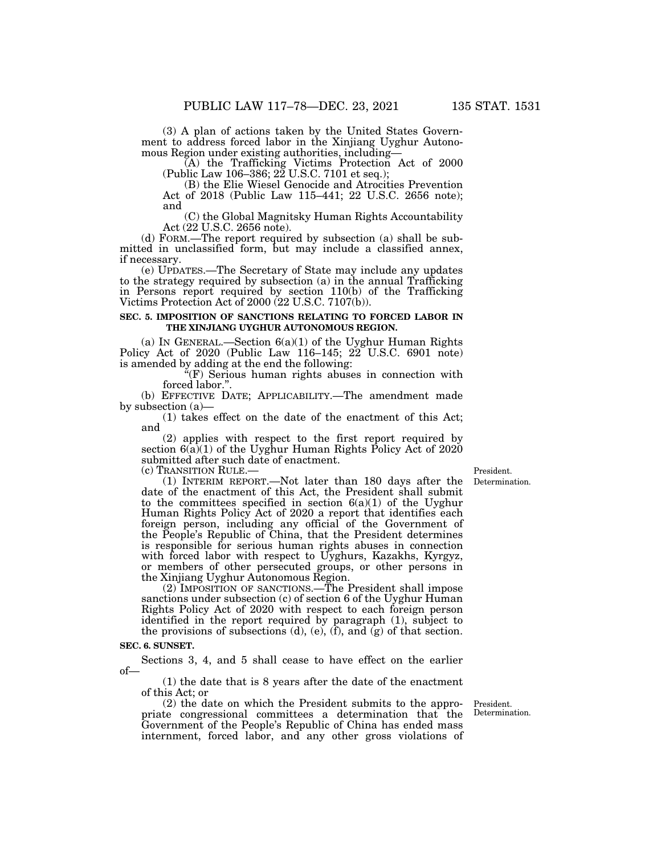(3) A plan of actions taken by the United States Government to address forced labor in the Xinjiang Uyghur Autonomous Region under existing authorities, including—

(A) the Trafficking Victims Protection Act of 2000 (Public Law 106–386; 22 U.S.C. 7101 et seq.);

(B) the Elie Wiesel Genocide and Atrocities Prevention Act of 2018 (Public Law 115–441; 22 U.S.C. 2656 note); and

(C) the Global Magnitsky Human Rights Accountability Act (22 U.S.C. 2656 note).

(d) FORM.—The report required by subsection (a) shall be submitted in unclassified form, but may include a classified annex, if necessary.

(e) UPDATES.—The Secretary of State may include any updates to the strategy required by subsection (a) in the annual Trafficking in Persons report required by section 110(b) of the Trafficking Victims Protection Act of 2000 (22 U.S.C. 7107(b)).

#### **SEC. 5. IMPOSITION OF SANCTIONS RELATING TO FORCED LABOR IN THE XINJIANG UYGHUR AUTONOMOUS REGION.**

(a) IN GENERAL.—Section  $6(a)(1)$  of the Uyghur Human Rights Policy Act of 2020 (Public Law 116–145; 22 U.S.C. 6901 note) is amended by adding at the end the following:

''(F) Serious human rights abuses in connection with forced labor.''.

(b) EFFECTIVE DATE; APPLICABILITY.—The amendment made by subsection (a)—

(1) takes effect on the date of the enactment of this Act; and

(2) applies with respect to the first report required by section  $6(a)(1)$  of the Uyghur Human Rights Policy Act of 2020 submitted after such date of enactment.<br>(c) TRANSITION RULE.—

 $(1)$  INTERIM REPORT.—Not later than 180 days after the date of the enactment of this Act, the President shall submit to the committees specified in section  $6(a)(1)$  of the Uyghur Human Rights Policy Act of 2020 a report that identifies each foreign person, including any official of the Government of the People's Republic of China, that the President determines is responsible for serious human rights abuses in connection with forced labor with respect to Uyghurs, Kazakhs, Kyrgyz, or members of other persecuted groups, or other persons in the Xinjiang Uyghur Autonomous Region.

(2) IMPOSITION OF SANCTIONS.—The President shall impose sanctions under subsection (c) of section 6 of the Uyghur Human Rights Policy Act of 2020 with respect to each foreign person identified in the report required by paragraph (1), subject to the provisions of subsections  $(d)$ ,  $(e)$ ,  $(f)$ , and  $(g)$  of that section.

## **SEC. 6. SUNSET.**

Sections 3, 4, and 5 shall cease to have effect on the earlier of—

(1) the date that is 8 years after the date of the enactment of this Act; or

(2) the date on which the President submits to the appropriate congressional committees a determination that the Government of the People's Republic of China has ended mass internment, forced labor, and any other gross violations of

President. Determination.

Determination. President.